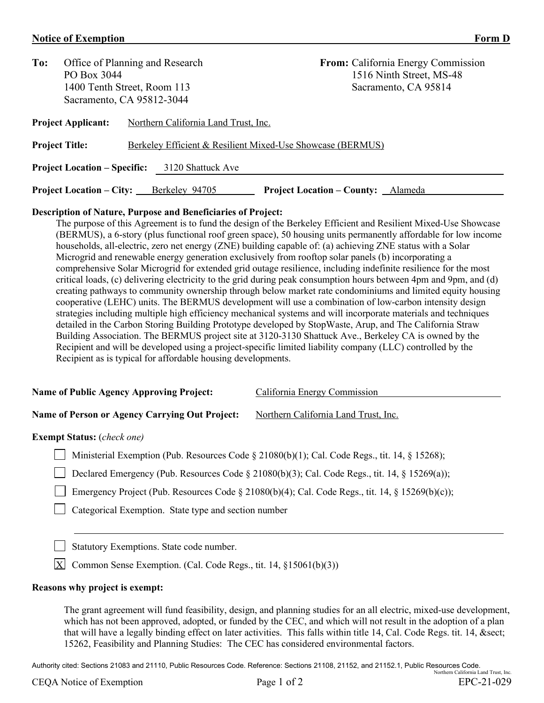# **Notice of Exemption Form D**

| To:                       |                             | Office of Planning and Research                            | <b>From:</b> California Energy Commission |
|---------------------------|-----------------------------|------------------------------------------------------------|-------------------------------------------|
|                           | PO Box 3044                 |                                                            | 1516 Ninth Street, MS-48                  |
|                           | 1400 Tenth Street, Room 113 |                                                            | Sacramento, CA 95814                      |
|                           |                             | Sacramento, CA 95812-3044                                  |                                           |
| <b>Project Applicant:</b> |                             | Northern California Land Trust, Inc.                       |                                           |
|                           | <b>Project Title:</b>       | Berkeley Efficient & Resilient Mixed-Use Showcase (BERMUS) |                                           |

**Project Location – Specific:** 3120 Shattuck Ave **Project Location – City:** Berkeley 94705 **Project Location – County:** Alameda

## **Description of Nature, Purpose and Beneficiaries of Project:**

The purpose of this Agreement is to fund the design of the Berkeley Efficient and Resilient Mixed-Use Showcase (BERMUS), a 6-story (plus functional roof green space), 50 housing units permanently affordable for low income households, all-electric, zero net energy (ZNE) building capable of: (a) achieving ZNE status with a Solar Microgrid and renewable energy generation exclusively from rooftop solar panels (b) incorporating a comprehensive Solar Microgrid for extended grid outage resilience, including indefinite resilience for the most critical loads, (c) delivering electricity to the grid during peak consumption hours between 4pm and 9pm, and (d) creating pathways to community ownership through below market rate condominiums and limited equity housing cooperative (LEHC) units. The BERMUS development will use a combination of low-carbon intensity design strategies including multiple high efficiency mechanical systems and will incorporate materials and techniques detailed in the Carbon Storing Building Prototype developed by StopWaste, Arup, and The California Straw Building Association. The BERMUS project site at 3120-3130 Shattuck Ave., Berkeley CA is owned by the Recipient and will be developed using a project-specific limited liability company (LLC) controlled by the Recipient as is typical for affordable housing developments.

| <b>Name of Public Agency Approving Project:</b>       | California Energy Commission         |
|-------------------------------------------------------|--------------------------------------|
|                                                       |                                      |
| <b>Name of Person or Agency Carrying Out Project:</b> | Northern California Land Trust, Inc. |

# **Exempt Status:** (*check one)*

Ministerial Exemption (Pub. Resources Code § 21080(b)(1); Cal. Code Regs., tit. 14, § 15268);

| Declared Emergency (Pub. Resources Code $\S 21080(b)(3)$ ; Cal. Code Regs., tit. 14, $\S 15269(a)$ ); |  |  |
|-------------------------------------------------------------------------------------------------------|--|--|
|                                                                                                       |  |  |

Emergency Project (Pub. Resources Code § 21080(b)(4); Cal. Code Regs., tit. 14, § 15269(b)(c));

Categorical Exemption. State type and section number

Statutory Exemptions. State code number.

 $X$  Common Sense Exemption. (Cal. Code Regs., tit. 14, §15061(b)(3))

#### **Reasons why project is exempt:**

The grant agreement will fund feasibility, design, and planning studies for an all electric, mixed-use development, which has not been approved, adopted, or funded by the CEC, and which will not result in the adoption of a plan that will have a legally binding effect on later activities. This falls within title 14, Cal. Code Regs. tit. 14, & sect; 15262, Feasibility and Planning Studies: The CEC has considered environmental factors.

Authority cited: Sections 21083 and 21110, Public Resources Code. Reference: Sections 21108, 21152, and 21152.1, Public Resources Code. Northern California Land Trust, Inc.